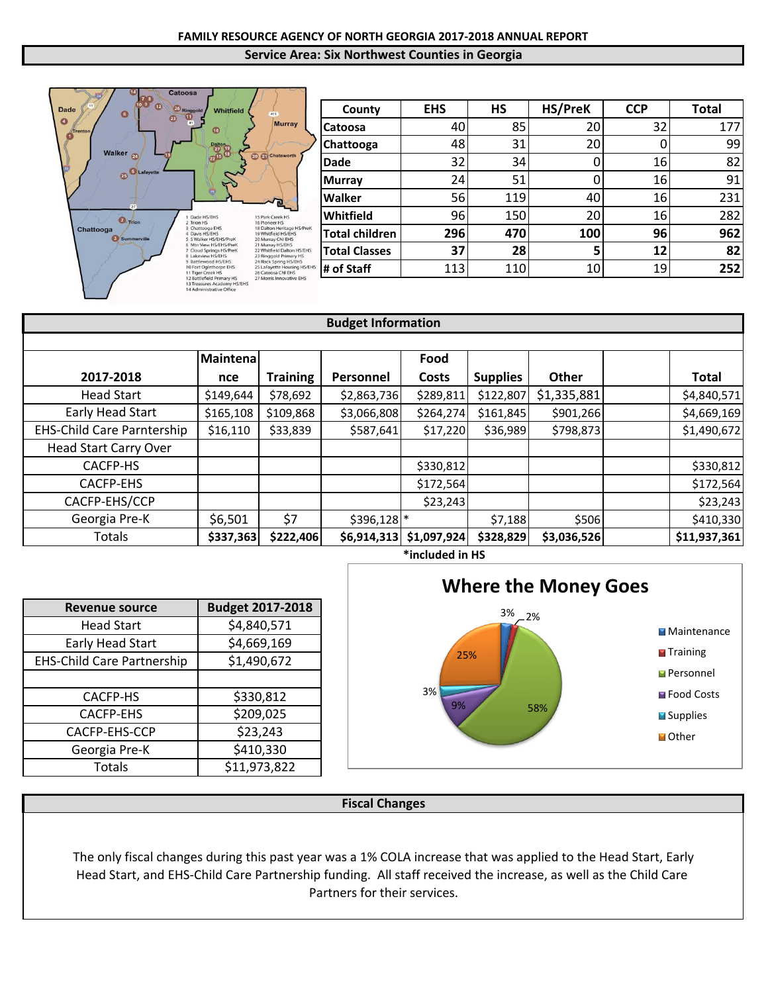

| County                | <b>EHS</b> | <b>HS</b> | HS/PreK<br><b>CCP</b> |    | <b>Total</b> |  |
|-----------------------|------------|-----------|-----------------------|----|--------------|--|
| Catoosa               | 40         | 85        | 20                    | 32 | 177          |  |
| Chattooga             | 48         | 31        | 20                    | 0  | 99           |  |
| <b>Dade</b>           | 32         | 34        |                       | 16 | 82           |  |
| <b>Murray</b>         | 24         | 51        |                       | 16 | 91           |  |
| Walker                | 56         | 119       | 40                    | 16 | 231          |  |
| Whitfield             | 96         | 150       | 20                    | 16 | 282          |  |
| <b>Total children</b> | 296        | 470       | 100                   | 96 | 962          |  |
| <b>Total Classes</b>  | 37         | 28        | 5                     | 12 | 82           |  |
| # of Staff            | 113        | 110       | 10                    | 19 | 252          |  |

| <b>Budget Information</b>         |                 |                 |             |             |                 |              |              |
|-----------------------------------|-----------------|-----------------|-------------|-------------|-----------------|--------------|--------------|
|                                   |                 |                 |             |             |                 |              |              |
|                                   | <b>Maintena</b> |                 |             | Food        |                 |              |              |
| 2017-2018                         | nce             | <b>Training</b> | Personnel   | Costs       | <b>Supplies</b> | <b>Other</b> | <b>Total</b> |
| <b>Head Start</b>                 | \$149,644       | \$78,692        | \$2,863,736 | \$289,811   | \$122,807       | \$1,335,881  | \$4,840,571  |
| Early Head Start                  | \$165,108       | \$109,868       | \$3,066,808 | \$264,274   | \$161,845       | \$901,266    | \$4,669,169  |
| <b>EHS-Child Care Parntership</b> | \$16,110        | \$33,839        | \$587,641   | \$17,220    | \$36,989        | \$798,873    | \$1,490,672  |
| <b>Head Start Carry Over</b>      |                 |                 |             |             |                 |              |              |
| CACFP-HS                          |                 |                 |             | \$330,812   |                 |              | \$330,812    |
| <b>CACFP-EHS</b>                  |                 |                 |             | \$172,564   |                 |              | \$172,564    |
| CACFP-EHS/CCP                     |                 |                 |             | \$23,243    |                 |              | \$23,243     |
| Georgia Pre-K                     | \$6,501         | \$7             | \$396,128   |             | \$7,188         | \$506        | \$410,330    |
| Totals                            | \$337,363       | \$222,406       | \$6,914,313 | \$1,097,924 | \$328,829       | \$3,036,526  | \$11,937,361 |



| <b>Revenue source</b>             | <b>Budget 2017-2018</b> |
|-----------------------------------|-------------------------|
| <b>Head Start</b>                 | \$4,840,571             |
| Early Head Start                  | \$4,669,169             |
| <b>EHS-Child Care Partnership</b> | \$1,490,672             |
|                                   |                         |
| <b>CACFP-HS</b>                   | \$330,812               |
| <b>CACFP-EHS</b>                  | \$209,025               |
| CACFP-EHS-CCP                     | \$23,243                |
| Georgia Pre-K                     | \$410,330               |
| Totals                            | \$11,973,822            |



The only fiscal changes during this past year was a 1% COLA increase that was applied to the Head Start, Early Head Start, and EHS-Child Care Partnership funding. All staff received the increase, as well as the Child Care Partners for their services.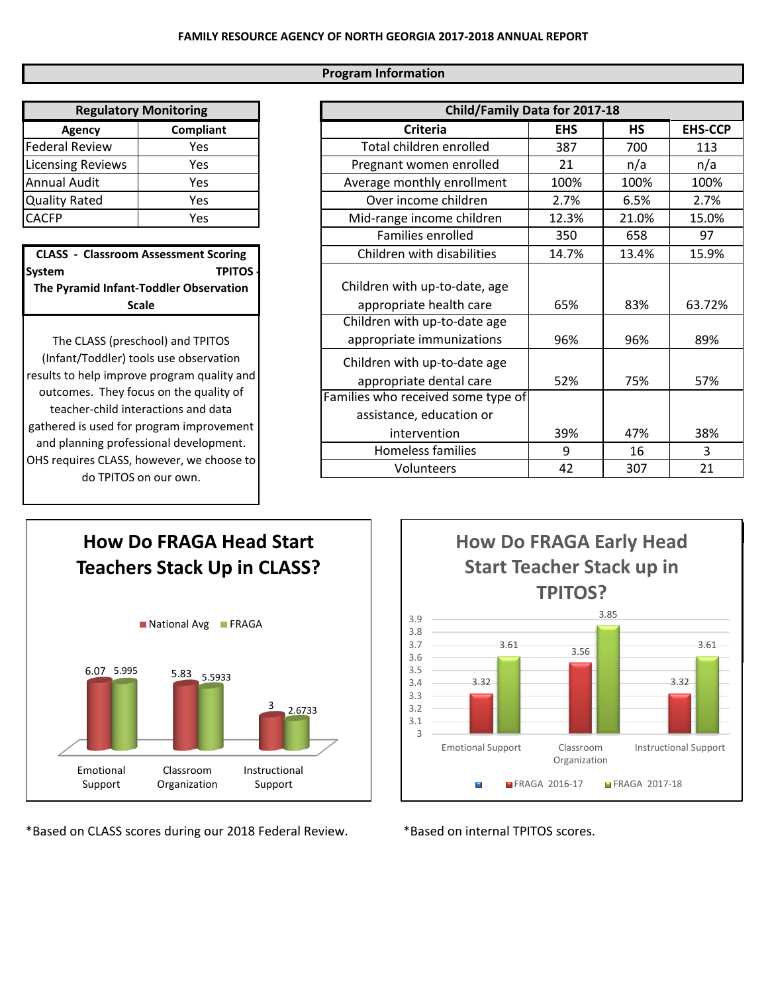## **Program Information**

| <b>Regulatory Monitoring</b> |           |  |  |  |
|------------------------------|-----------|--|--|--|
| Agency                       | Compliant |  |  |  |
| <b>Federal Review</b>        | Yes       |  |  |  |
| <b>Licensing Reviews</b>     | Yes       |  |  |  |
| <b>Annual Audit</b>          | Yes       |  |  |  |
| <b>Quality Rated</b>         | Yes       |  |  |  |
| <b>CACFP</b>                 | Yes       |  |  |  |

**CLASS - Classroom Assessment Scoring**  System TPITOS **The Pyramid Infant-Toddler Observation Scale** 

The CLASS (preschool) and TPITOS (Infant/Toddler) tools use observation results to help improve program quality and outcomes. They focus on the quality of teacher-child interactions and data gathered is used for program improvement and planning professional development. OHS requires CLASS, however, we choose to do TPITOS on our own.

| Child/Family Data for 2017-18                                  |            |           |                |  |  |  |
|----------------------------------------------------------------|------------|-----------|----------------|--|--|--|
| <b>Criteria</b>                                                | <b>EHS</b> | <b>HS</b> | <b>EHS-CCP</b> |  |  |  |
| Total children enrolled                                        | 387        | 700       | 113            |  |  |  |
| Pregnant women enrolled                                        | 21         | n/a       | n/a            |  |  |  |
| Average monthly enrollment                                     | 100%       | 100%      | 100%           |  |  |  |
| Over income children                                           | 2.7%       | 6.5%      | 2.7%           |  |  |  |
| Mid-range income children                                      | 12.3%      | 21.0%     | 15.0%          |  |  |  |
| Families enrolled                                              | 350        | 658       | 97             |  |  |  |
| Children with disabilities                                     | 14.7%      | 13.4%     | 15.9%          |  |  |  |
| Children with up-to-date, age<br>appropriate health care       | 65%        | 83%       | 63.72%         |  |  |  |
| Children with up-to-date age<br>appropriate immunizations      | 96%        | 96%       | 89%            |  |  |  |
| Children with up-to-date age<br>appropriate dental care        | 52%        | 75%       | 57%            |  |  |  |
| Families who received some type of<br>assistance, education or |            |           |                |  |  |  |
| intervention                                                   | 39%        | 47%       | 38%            |  |  |  |
| Homeless families                                              | 9          | 16        | 3              |  |  |  |
| Volunteers                                                     | 42         | 307       | 21             |  |  |  |



\*Based on CLASS scores during our 2018 Federal Review. \*Based on internal TPITOS scores.